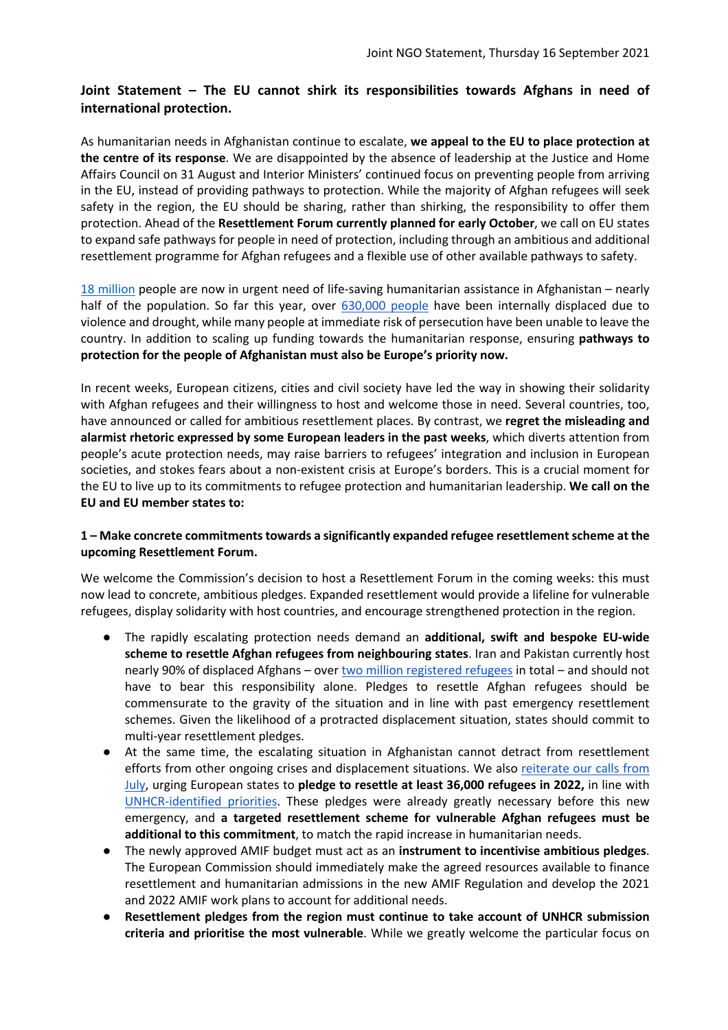# **Joint Statement – The EU cannot shirk its responsibilities towards Afghans in need of international protection.**

As humanitarian needs in Afghanistan continue to escalate, **we appeal to the EU to place protection at the centre of its response**. We are disappointed by the absence of leadership at the Justice and Home Affairs Council on 31 August and Interior Ministers' continued focus on preventing people from arriving in the EU, instead of providing pathways to protection. While the majority of Afghan refugees will seek safety in the region, the EU should be sharing, rather than shirking, the responsibility to offer them protection. Ahead of the **Resettlement Forum currently planned for early October**, we call on EU states to expand safe pathways for people in need of protection, including through an ambitious and additional resettlement programme for Afghan refugees and a flexible use of other available pathways to safety.

18 million people are now in urgent need of life-saving humanitarian assistance in Afghanistan – nearly half of the population. So far this year, over 630,000 people have been internally displaced due to violence and drought, while many people at immediate risk of persecution have been unable to leave the country. In addition to scaling up funding towards the humanitarian response, ensuring **pathways to protection for the people of Afghanistan must also be Europe's priority now.** 

In recent weeks, European citizens, cities and civil society have led the way in showing their solidarity with Afghan refugees and their willingness to host and welcome those in need. Several countries, too, have announced or called for ambitious resettlement places. By contrast, we **regret the misleading and alarmist rhetoric expressed by some European leaders in the past weeks**, which diverts attention from people's acute protection needs, may raise barriers to refugees' integration and inclusion in European societies, and stokes fears about a non-existent crisis at Europe's borders. This is a crucial moment for the EU to live up to its commitments to refugee protection and humanitarian leadership. **We call on the EU and EU member states to:**

### **1 – Make concrete commitments towards a significantly expanded refugee resettlement scheme at the upcoming Resettlement Forum.**

We welcome the Commission's decision to host a Resettlement Forum in the coming weeks: this must now lead to concrete, ambitious pledges. Expanded resettlement would provide a lifeline for vulnerable refugees, display solidarity with host countries, and encourage strengthened protection in the region.

- The rapidly escalating protection needs demand an **additional, swift and bespoke EU-wide scheme to resettle Afghan refugees from neighbouring states**. Iran and Pakistan currently host nearly 90% of displaced Afghans – over two million registered refugees in total – and should not have to bear this responsibility alone. Pledges to resettle Afghan refugees should be commensurate to the gravity of the situation and in line with past emergency resettlement schemes. Given the likelihood of a protracted displacement situation, states should commit to multi-year resettlement pledges.
- At the same time, the escalating situation in Afghanistan cannot detract from resettlement efforts from other ongoing crises and displacement situations. We also reiterate our calls from July, urging European states to **pledge to resettle at least 36,000 refugees in 2022,** in line with UNHCR-identified priorities. These pledges were already greatly necessary before this new emergency, and **a targeted resettlement scheme for vulnerable Afghan refugees must be additional to this commitment**, to match the rapid increase in humanitarian needs.
- The newly approved AMIF budget must act as an **instrument to incentivise ambitious pledges**. The European Commission should immediately make the agreed resources available to finance resettlement and humanitarian admissions in the new AMIF Regulation and develop the 2021 and 2022 AMIF work plans to account for additional needs.
- **Resettlement pledges from the region must continue to take account of UNHCR submission criteria and prioritise the most vulnerable**. While we greatly welcome the particular focus on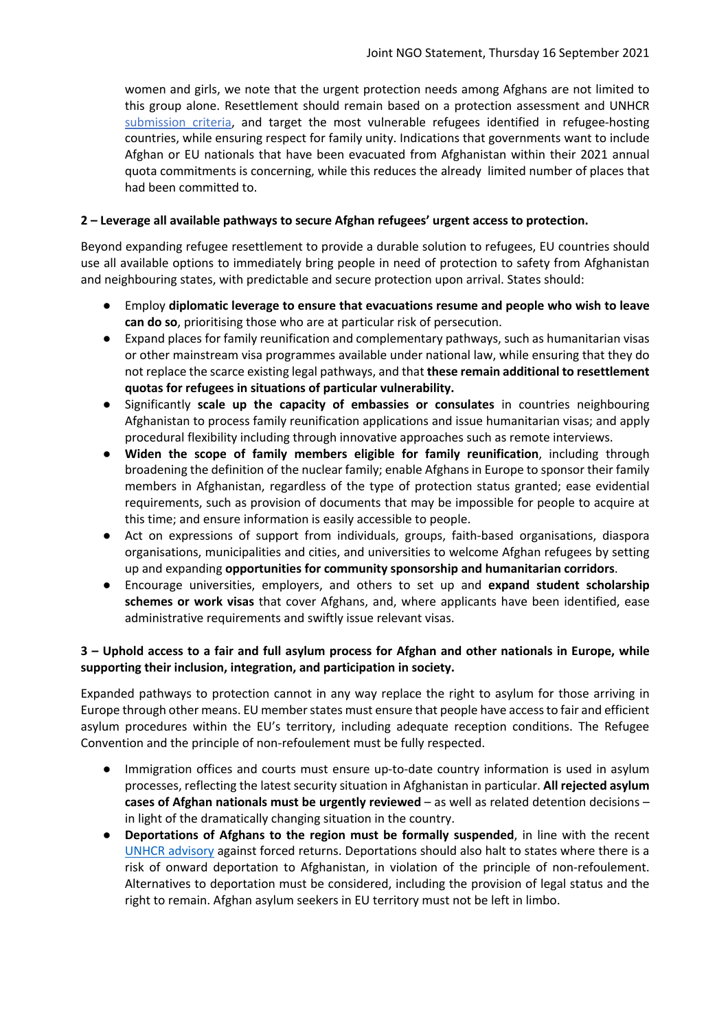women and girls, we note that the urgent protection needs among Afghans are not limited to this group alone. Resettlement should remain based on a protection assessment and UNHCR submission criteria, and target the most vulnerable refugees identified in refugee-hosting countries, while ensuring respect for family unity. Indications that governments want to include Afghan or EU nationals that have been evacuated from Afghanistan within their 2021 annual quota commitments is concerning, while this reduces the already limited number of places that had been committed to.

#### **2 – Leverage all available pathways to secure Afghan refugees' urgent access to protection.**

Beyond expanding refugee resettlement to provide a durable solution to refugees, EU countries should use all available options to immediately bring people in need of protection to safety from Afghanistan and neighbouring states, with predictable and secure protection upon arrival. States should:

- Employ **diplomatic leverage to ensure that evacuations resume and people who wish to leave can do so**, prioritising those who are at particular risk of persecution.
- Expand places for family reunification and complementary pathways, such as humanitarian visas or other mainstream visa programmes available under national law, while ensuring that they do not replace the scarce existing legal pathways, and that **these remain additional to resettlement quotas for refugees in situations of particular vulnerability.**
- Significantly **scale up the capacity of embassies or consulates** in countries neighbouring Afghanistan to process family reunification applications and issue humanitarian visas; and apply procedural flexibility including through innovative approaches such as remote interviews.
- **Widen the scope of family members eligible for family reunification**, including through broadening the definition of the nuclear family; enable Afghans in Europe to sponsor their family members in Afghanistan, regardless of the type of protection status granted; ease evidential requirements, such as provision of documents that may be impossible for people to acquire at this time; and ensure information is easily accessible to people.
- Act on expressions of support from individuals, groups, faith-based organisations, diaspora organisations, municipalities and cities, and universities to welcome Afghan refugees by setting up and expanding **opportunities for community sponsorship and humanitarian corridors**.
- Encourage universities, employers, and others to set up and **expand student scholarship schemes or work visas** that cover Afghans, and, where applicants have been identified, ease administrative requirements and swiftly issue relevant visas.

# **3 – Uphold access to a fair and full asylum process for Afghan and other nationals in Europe, while supporting their inclusion, integration, and participation in society.**

Expanded pathways to protection cannot in any way replace the right to asylum for those arriving in Europe through other means. EU member states must ensure that people have access to fair and efficient asylum procedures within the EU's territory, including adequate reception conditions. The Refugee Convention and the principle of non-refoulement must be fully respected.

- Immigration offices and courts must ensure up-to-date country information is used in asylum processes, reflecting the latest security situation in Afghanistan in particular. **All rejected asylum cases of Afghan nationals must be urgently reviewed** – as well as related detention decisions – in light of the dramatically changing situation in the country.
- **Deportations of Afghans to the region must be formally suspended**, in line with the recent UNHCR advisory against forced returns. Deportations should also halt to states where there is a risk of onward deportation to Afghanistan, in violation of the principle of non-refoulement. Alternatives to deportation must be considered, including the provision of legal status and the right to remain. Afghan asylum seekers in EU territory must not be left in limbo.